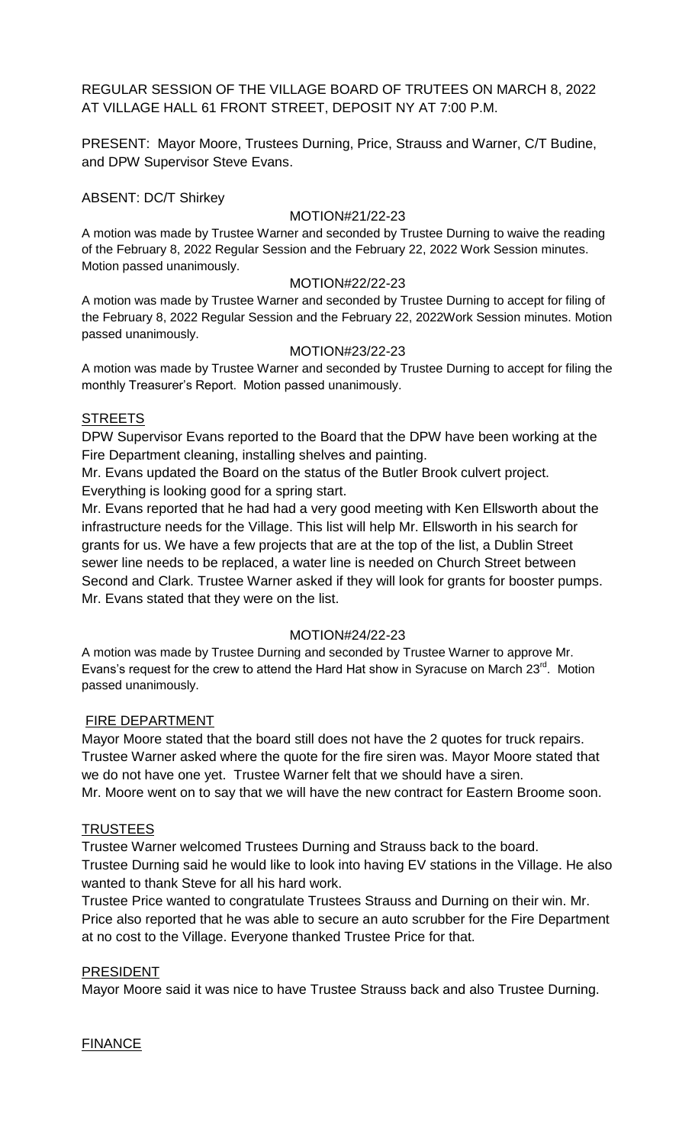REGULAR SESSION OF THE VILLAGE BOARD OF TRUTEES ON MARCH 8, 2022 AT VILLAGE HALL 61 FRONT STREET, DEPOSIT NY AT 7:00 P.M.

PRESENT: Mayor Moore, Trustees Durning, Price, Strauss and Warner, C/T Budine, and DPW Supervisor Steve Evans.

ABSENT: DC/T Shirkey

#### MOTION#21/22-23

A motion was made by Trustee Warner and seconded by Trustee Durning to waive the reading of the February 8, 2022 Regular Session and the February 22, 2022 Work Session minutes. Motion passed unanimously.

#### MOTION#22/22-23

A motion was made by Trustee Warner and seconded by Trustee Durning to accept for filing of the February 8, 2022 Regular Session and the February 22, 2022Work Session minutes. Motion passed unanimously.

### MOTION#23/22-23

A motion was made by Trustee Warner and seconded by Trustee Durning to accept for filing the monthly Treasurer's Report. Motion passed unanimously.

### **STREETS**

DPW Supervisor Evans reported to the Board that the DPW have been working at the Fire Department cleaning, installing shelves and painting.

Mr. Evans updated the Board on the status of the Butler Brook culvert project. Everything is looking good for a spring start.

Mr. Evans reported that he had had a very good meeting with Ken Ellsworth about the infrastructure needs for the Village. This list will help Mr. Ellsworth in his search for grants for us. We have a few projects that are at the top of the list, a Dublin Street sewer line needs to be replaced, a water line is needed on Church Street between Second and Clark. Trustee Warner asked if they will look for grants for booster pumps. Mr. Evans stated that they were on the list.

# MOTION#24/22-23

A motion was made by Trustee Durning and seconded by Trustee Warner to approve Mr. Evans's request for the crew to attend the Hard Hat show in Syracuse on March 23<sup>rd</sup>. Motion passed unanimously.

# FIRE DEPARTMENT

Mayor Moore stated that the board still does not have the 2 quotes for truck repairs. Trustee Warner asked where the quote for the fire siren was. Mayor Moore stated that we do not have one yet. Trustee Warner felt that we should have a siren. Mr. Moore went on to say that we will have the new contract for Eastern Broome soon.

#### **TRUSTEES**

Trustee Warner welcomed Trustees Durning and Strauss back to the board. Trustee Durning said he would like to look into having EV stations in the Village. He also wanted to thank Steve for all his hard work.

Trustee Price wanted to congratulate Trustees Strauss and Durning on their win. Mr. Price also reported that he was able to secure an auto scrubber for the Fire Department at no cost to the Village. Everyone thanked Trustee Price for that.

# PRESIDENT

Mayor Moore said it was nice to have Trustee Strauss back and also Trustee Durning.

#### **FINANCE**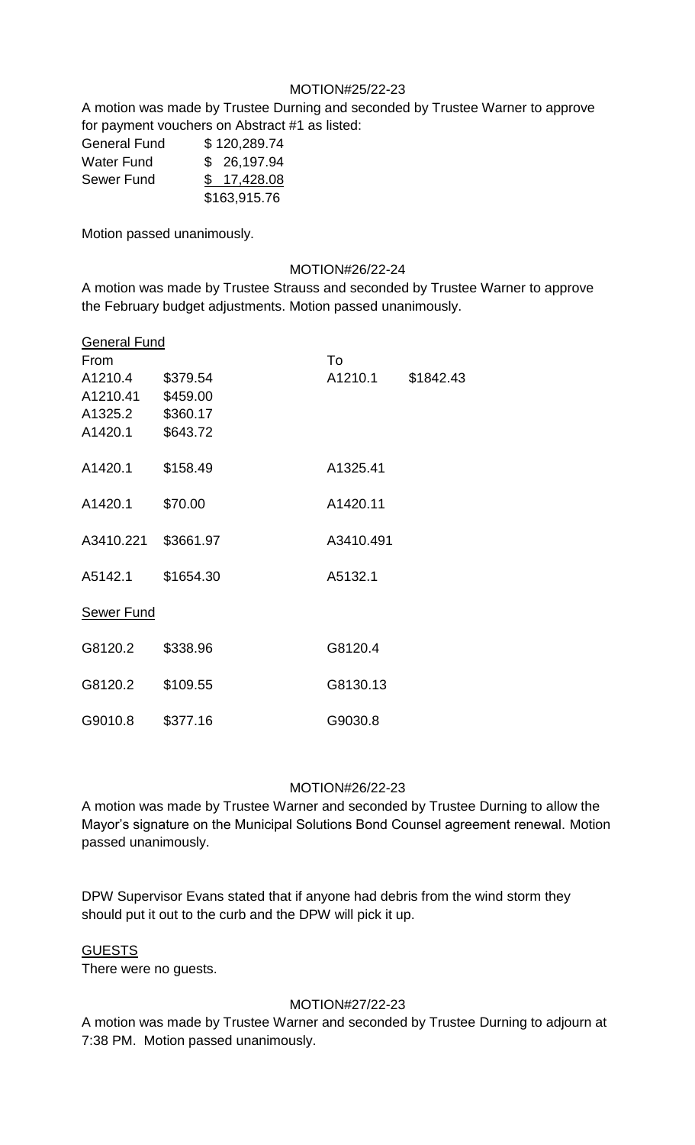# MOTION#25/22-23

A motion was made by Trustee Durning and seconded by Trustee Warner to approve for payment vouchers on Abstract #1 as listed:

| <b>General Fund</b> | \$120,289.74 |
|---------------------|--------------|
| <b>Water Fund</b>   | \$26,197.94  |
| Sewer Fund          | \$17,428.08  |
|                     | \$163,915.76 |

Motion passed unanimously.

### MOTION#26/22-24

A motion was made by Trustee Strauss and seconded by Trustee Warner to approve the February budget adjustments. Motion passed unanimously.

| <b>General Fund</b> |           |           |           |
|---------------------|-----------|-----------|-----------|
| From                |           | To        |           |
| A1210.4             | \$379.54  | A1210.1   | \$1842.43 |
| A1210.41            | \$459.00  |           |           |
| A1325.2             | \$360.17  |           |           |
| A1420.1             | \$643.72  |           |           |
| A1420.1             | \$158.49  | A1325.41  |           |
| A1420.1             | \$70.00   | A1420.11  |           |
| A3410.221           | \$3661.97 | A3410.491 |           |
| A5142.1             | \$1654.30 | A5132.1   |           |
| <b>Sewer Fund</b>   |           |           |           |
| G8120.2             | \$338.96  | G8120.4   |           |
| G8120.2             | \$109.55  | G8130.13  |           |
| G9010.8             | \$377.16  | G9030.8   |           |

# MOTION#26/22-23

A motion was made by Trustee Warner and seconded by Trustee Durning to allow the Mayor's signature on the Municipal Solutions Bond Counsel agreement renewal. Motion passed unanimously.

DPW Supervisor Evans stated that if anyone had debris from the wind storm they should put it out to the curb and the DPW will pick it up.

#### GUESTS

There were no guests.

# MOTION#27/22-23

A motion was made by Trustee Warner and seconded by Trustee Durning to adjourn at 7:38 PM. Motion passed unanimously.